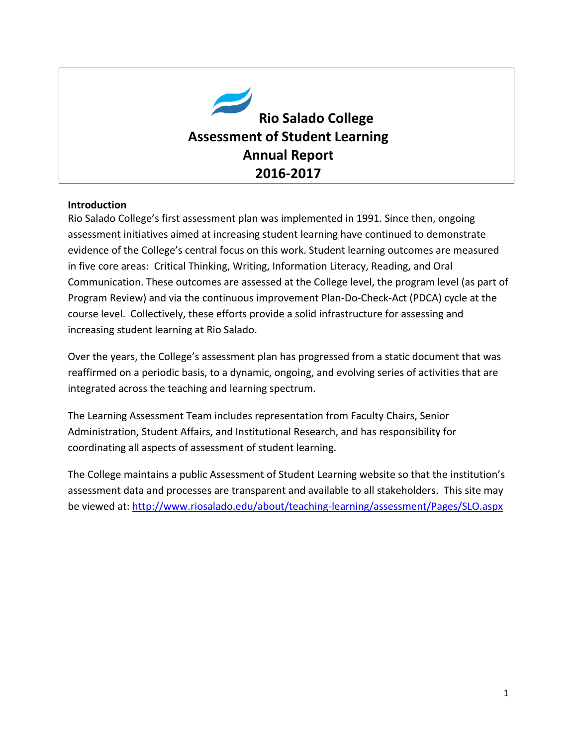

#### **Introduction**

Rio Salado College's first assessment plan was implemented in 1991. Since then, ongoing assessment initiatives aimed at increasing student learning have continued to demonstrate evidence of the College's central focus on this work. Student learning outcomes are measured in five core areas: Critical Thinking, Writing, Information Literacy, Reading, and Oral Communication. These outcomes are assessed at the College level, the program level (as part of Program Review) and via the continuous improvement Plan-Do-Check-Act (PDCA) cycle at the course level. Collectively, these efforts provide a solid infrastructure for assessing and increasing student learning at Rio Salado.

Over the years, the College's assessment plan has progressed from a static document that was reaffirmed on a periodic basis, to a dynamic, ongoing, and evolving series of activities that are integrated across the teaching and learning spectrum.

The Learning Assessment Team includes representation from Faculty Chairs, Senior Administration, Student Affairs, and Institutional Research, and has responsibility for coordinating all aspects of assessment of student learning.

The College maintains a public Assessment of Student Learning website so that the institution's assessment data and processes are transparent and available to all stakeholders. This site may be viewed at:<http://www.riosalado.edu/about/teaching-learning/assessment/Pages/SLO.aspx>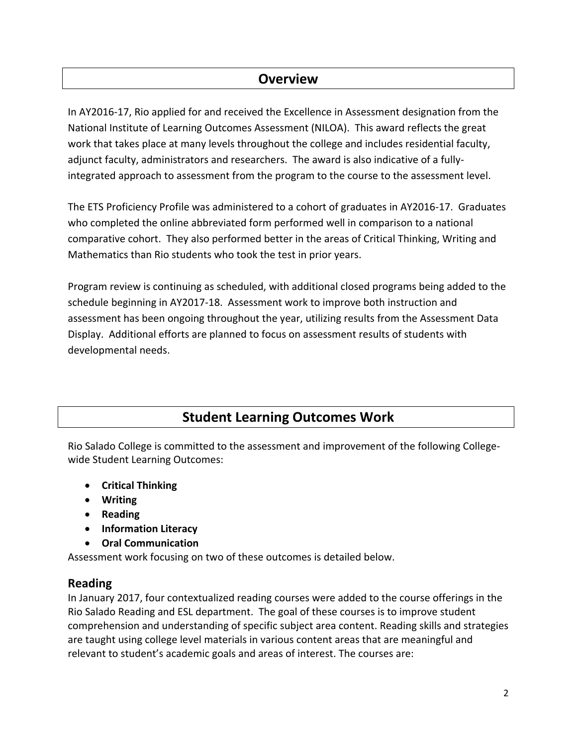### **Overview**

In AY2016-17, Rio applied for and received the Excellence in Assessment designation from the National Institute of Learning Outcomes Assessment (NILOA). This award reflects the great work that takes place at many levels throughout the college and includes residential faculty, adjunct faculty, administrators and researchers. The award is also indicative of a fullyintegrated approach to assessment from the program to the course to the assessment level.

The ETS Proficiency Profile was administered to a cohort of graduates in AY2016-17. Graduates who completed the online abbreviated form performed well in comparison to a national comparative cohort. They also performed better in the areas of Critical Thinking, Writing and Mathematics than Rio students who took the test in prior years.

Program review is continuing as scheduled, with additional closed programs being added to the schedule beginning in AY2017-18. Assessment work to improve both instruction and assessment has been ongoing throughout the year, utilizing results from the Assessment Data Display. Additional efforts are planned to focus on assessment results of students with developmental needs.

# **Student Learning Outcomes Work**

Rio Salado College is committed to the assessment and improvement of the following Collegewide Student Learning Outcomes:

- **Critical Thinking**
- **Writing**
- **•** Reading
- **Information Literacy**
- **Oral Communication**

Assessment work focusing on two of these outcomes is detailed below.

#### **Reading**

In January 2017, four contextualized reading courses were added to the course offerings in the Rio Salado Reading and ESL department. The goal of these courses is to improve student comprehension and understanding of specific subject area content. Reading skills and strategies are taught using college level materials in various content areas that are meaningful and relevant to student's academic goals and areas of interest. The courses are: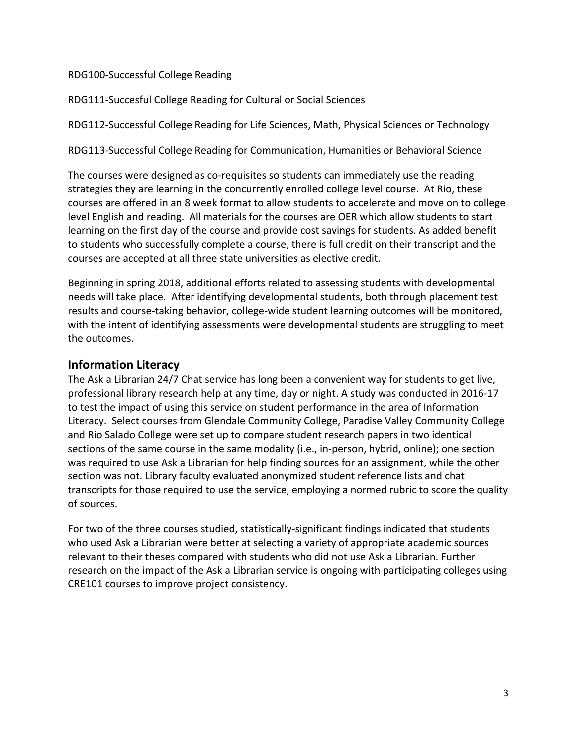#### RDG100-Successful College Reading

RDG111-Succesful College Reading for Cultural or Social Sciences

RDG112-Successful College Reading for Life Sciences, Math, Physical Sciences or Technology

RDG113-Successful College Reading for Communication, Humanities or Behavioral Science

The courses were designed as co-requisites so students can immediately use the reading strategies they are learning in the concurrently enrolled college level course. At Rio, these courses are offered in an 8 week format to allow students to accelerate and move on to college level English and reading. All materials for the courses are OER which allow students to start learning on the first day of the course and provide cost savings for students. As added benefit to students who successfully complete a course, there is full credit on their transcript and the courses are accepted at all three state universities as elective credit.

Beginning in spring 2018, additional efforts related to assessing students with developmental needs will take place. After identifying developmental students, both through placement test results and course-taking behavior, college-wide student learning outcomes will be monitored, with the intent of identifying assessments were developmental students are struggling to meet the outcomes.

#### **Information Literacy**

The Ask a Librarian 24/7 Chat service has long been a convenient way for students to get live, professional library research help at any time, day or night. A study was conducted in 2016-17 to test the impact of using this service on student performance in the area of Information Literacy. Select courses from Glendale Community College, Paradise Valley Community College and Rio Salado College were set up to compare student research papers in two identical sections of the same course in the same modality (i.e., in-person, hybrid, online); one section was required to use Ask a Librarian for help finding sources for an assignment, while the other section was not. Library faculty evaluated anonymized student reference lists and chat transcripts for those required to use the service, employing a normed rubric to score the quality of sources.

For two of the three courses studied, statistically-significant findings indicated that students who used Ask a Librarian were better at selecting a variety of appropriate academic sources relevant to their theses compared with students who did not use Ask a Librarian. Further research on the impact of the Ask a Librarian service is ongoing with participating colleges using CRE101 courses to improve project consistency.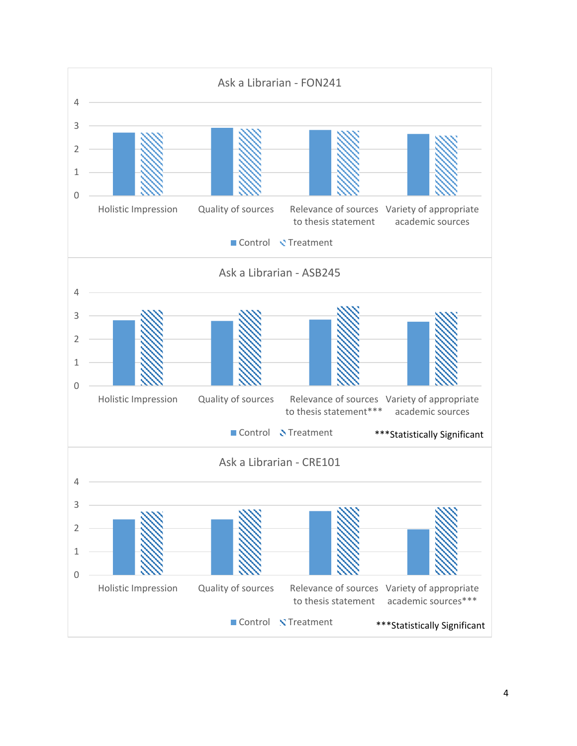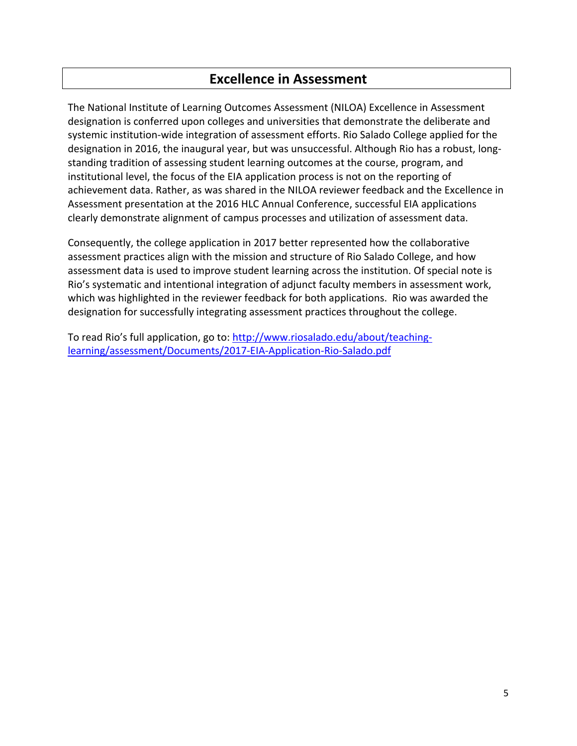### **Excellence in Assessment**

The National Institute of Learning Outcomes Assessment (NILOA) Excellence in Assessment designation is conferred upon colleges and universities that demonstrate the deliberate and systemic institution-wide integration of assessment efforts. Rio Salado College applied for the designation in 2016, the inaugural year, but was unsuccessful. Although Rio has a robust, longstanding tradition of assessing student learning outcomes at the course, program, and institutional level, the focus of the EIA application process is not on the reporting of achievement data. Rather, as was shared in the NILOA reviewer feedback and the Excellence in Assessment presentation at the 2016 HLC Annual Conference, successful EIA applications clearly demonstrate alignment of campus processes and utilization of assessment data.

Consequently, the college application in 2017 better represented how the collaborative assessment practices align with the mission and structure of Rio Salado College, and how assessment data is used to improve student learning across the institution. Of special note is Rio's systematic and intentional integration of adjunct faculty members in assessment work, which was highlighted in the reviewer feedback for both applications. Rio was awarded the designation for successfully integrating assessment practices throughout the college.

To read Rio's full application, go to: [http://www.riosalado.edu/about/teaching](http://www.riosalado.edu/about/teaching-learning/assessment/Documents/2017-EIA-Application-Rio-Salado.pdf)[learning/assessment/Documents/2017-EIA-Application-Rio-Salado.pdf](http://www.riosalado.edu/about/teaching-learning/assessment/Documents/2017-EIA-Application-Rio-Salado.pdf)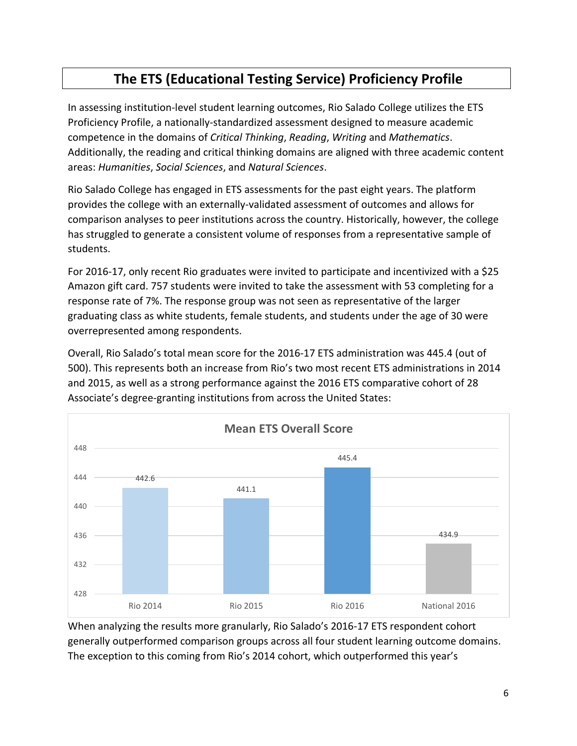# **The ETS (Educational Testing Service) Proficiency Profile**

In assessing institution-level student learning outcomes, Rio Salado College utilizes the ETS Proficiency Profile, a nationally-standardized assessment designed to measure academic competence in the domains of *Critical Thinking*, *Reading*, *Writing* and *Mathematics*. Additionally, the reading and critical thinking domains are aligned with three academic content areas: *Humanities*, *Social Sciences*, and *Natural Sciences*.

Rio Salado College has engaged in ETS assessments for the past eight years. The platform provides the college with an externally-validated assessment of outcomes and allows for comparison analyses to peer institutions across the country. Historically, however, the college has struggled to generate a consistent volume of responses from a representative sample of students.

For 2016-17, only recent Rio graduates were invited to participate and incentivized with a \$25 Amazon gift card. 757 students were invited to take the assessment with 53 completing for a response rate of 7%. The response group was not seen as representative of the larger graduating class as white students, female students, and students under the age of 30 were overrepresented among respondents.

Overall, Rio Salado's total mean score for the 2016-17 ETS administration was 445.4 (out of 500). This represents both an increase from Rio's two most recent ETS administrations in 2014 and 2015, as well as a strong performance against the 2016 ETS comparative cohort of 28 Associate's degree-granting institutions from across the United States:



When analyzing the results more granularly, Rio Salado's 2016-17 ETS respondent cohort generally outperformed comparison groups across all four student learning outcome domains. The exception to this coming from Rio's 2014 cohort, which outperformed this year's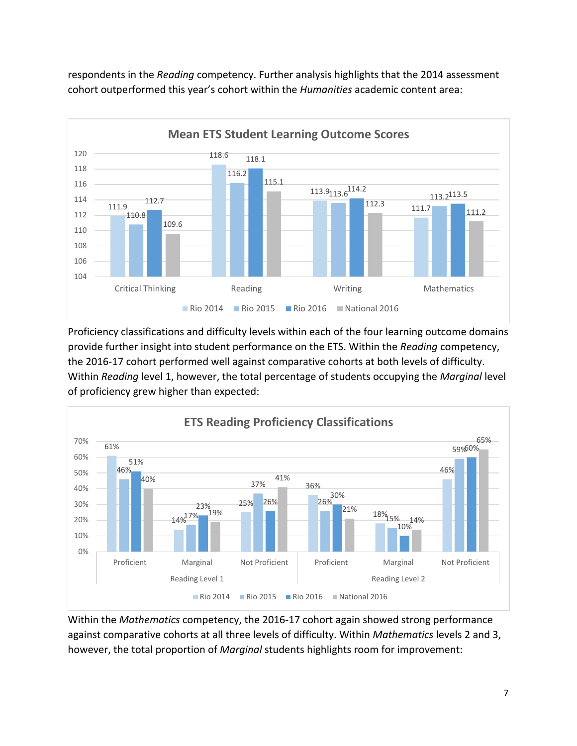

respondents in the *Reading* competency. Further analysis highlights that the 2014 assessment cohort outperformed this year's cohort within the *Humanities* academic content area:

Proficiency classifications and difficulty levels within each of the four learning outcome domains provide further insight into student performance on the ETS. Within the *Reading* competency, the 2016-17 cohort performed well against comparative cohorts at both levels of difficulty. Within *Reading* level 1, however, the total percentage of students occupying the *Marginal* level of proficiency grew higher than expected:



Within the *Mathematics* competency, the 2016-17 cohort again showed strong performance against comparative cohorts at all three levels of difficulty. Within *Mathematics* levels 2 and 3, however, the total proportion of *Marginal* students highlights room for improvement: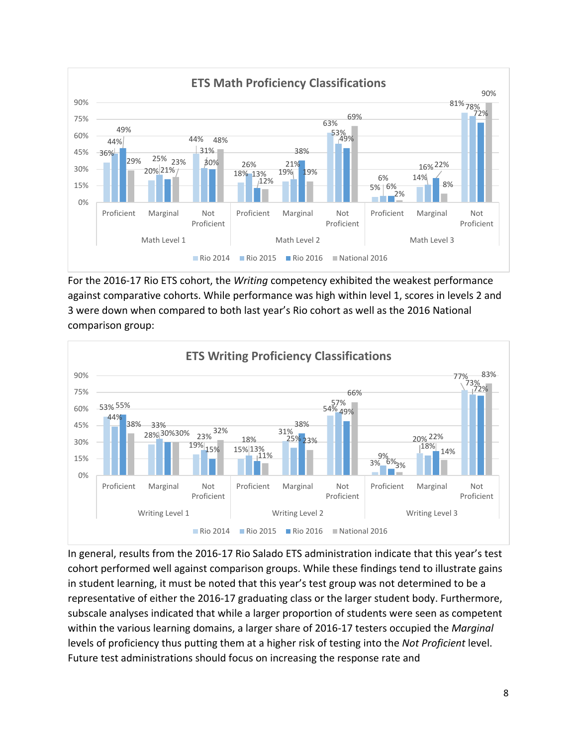

For the 2016-17 Rio ETS cohort, the *Writing* competency exhibited the weakest performance against comparative cohorts. While performance was high within level 1, scores in levels 2 and 3 were down when compared to both last year's Rio cohort as well as the 2016 National comparison group:



In general, results from the 2016-17 Rio Salado ETS administration indicate that this year's test cohort performed well against comparison groups. While these findings tend to illustrate gains in student learning, it must be noted that this year's test group was not determined to be a representative of either the 2016-17 graduating class or the larger student body. Furthermore, subscale analyses indicated that while a larger proportion of students were seen as competent within the various learning domains, a larger share of 2016-17 testers occupied the *Marginal* levels of proficiency thus putting them at a higher risk of testing into the *Not Proficient* level. Future test administrations should focus on increasing the response rate and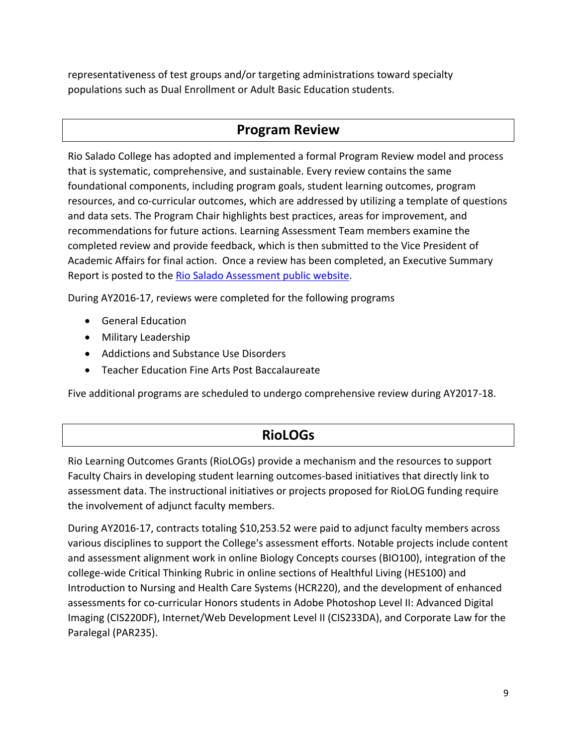representativeness of test groups and/or targeting administrations toward specialty populations such as Dual Enrollment or Adult Basic Education students.

### **Program Review**

Rio Salado College has adopted and implemented a formal Program Review model and process that is systematic, comprehensive, and sustainable. Every review contains the same foundational components, including program goals, student learning outcomes, program resources, and co-curricular outcomes, which are addressed by utilizing a template of questions and data sets. The Program Chair highlights best practices, areas for improvement, and recommendations for future actions. Learning Assessment Team members examine the completed review and provide feedback, which is then submitted to the Vice President of Academic Affairs for final action. Once a review has been completed, an Executive Summary Report is posted to the [Rio Salado Assessment public website.](http://www.riosalado.edu/about/teaching-learning/assessment/Pages/SLO.aspx)

During AY2016-17, reviews were completed for the following programs

- General Education
- Military Leadership
- Addictions and Substance Use Disorders
- Teacher Education Fine Arts Post Baccalaureate

Five additional programs are scheduled to undergo comprehensive review during AY2017-18.

### **RioLOGs**

Rio Learning Outcomes Grants (RioLOGs) provide a mechanism and the resources to support Faculty Chairs in developing student learning outcomes-based initiatives that directly link to assessment data. The instructional initiatives or projects proposed for RioLOG funding require the involvement of adjunct faculty members.

During AY2016-17, contracts totaling \$10,253.52 were paid to adjunct faculty members across various disciplines to support the College's assessment efforts. Notable projects include content and assessment alignment work in online Biology Concepts courses (BIO100), integration of the college-wide Critical Thinking Rubric in online sections of Healthful Living (HES100) and Introduction to Nursing and Health Care Systems (HCR220), and the development of enhanced assessments for co-curricular Honors students in Adobe Photoshop Level II: Advanced Digital Imaging (CIS220DF), Internet/Web Development Level II (CIS233DA), and Corporate Law for the Paralegal (PAR235).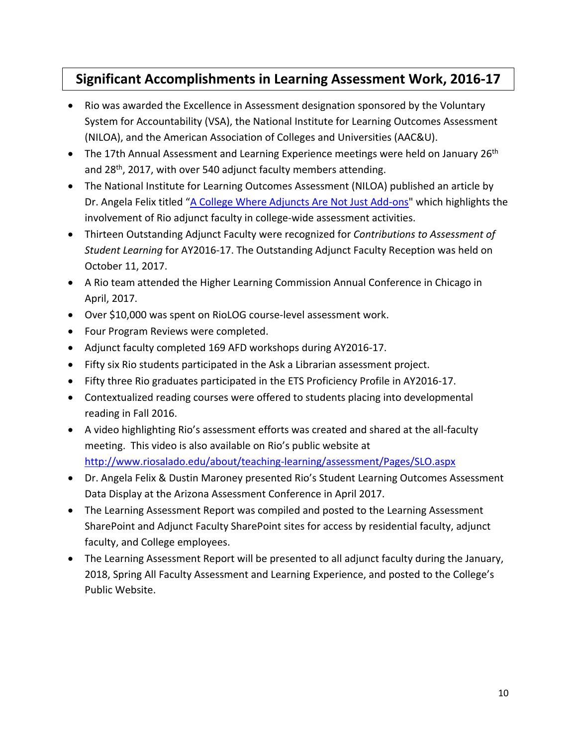# **Significant Accomplishments in Learning Assessment Work, 2016-17**

- Rio was awarded the Excellence in Assessment designation sponsored by the Voluntary System for Accountability (VSA), the National Institute for Learning Outcomes Assessment (NILOA), and the American Association of Colleges and Universities (AAC&U).
- The 17th Annual Assessment and Learning Experience meetings were held on January 26<sup>th</sup> and 28<sup>th</sup>, 2017, with over 540 adjunct faculty members attending.
- The National Institute for Learning Outcomes Assessment (NILOA) published an article by Dr. Angela Felix titled "[A College Where Adjuncts Are Not Just Add-ons"](http://www.learningoutcomeassessment.org/documents/Assessment_in_Practice_Rio_Salado.pdf) which highlights the involvement of Rio adjunct faculty in college-wide assessment activities.
- Thirteen Outstanding Adjunct Faculty were recognized for *Contributions to Assessment of Student Learning* for AY2016-17. The Outstanding Adjunct Faculty Reception was held on October 11, 2017.
- A Rio team attended the Higher Learning Commission Annual Conference in Chicago in April, 2017.
- Over \$10,000 was spent on RioLOG course-level assessment work.
- Four Program Reviews were completed.
- Adjunct faculty completed 169 AFD workshops during AY2016-17.
- Fifty six Rio students participated in the Ask a Librarian assessment project.
- Fifty three Rio graduates participated in the ETS Proficiency Profile in AY2016-17.
- Contextualized reading courses were offered to students placing into developmental reading in Fall 2016.
- A video highlighting Rio's assessment efforts was created and shared at the all-faculty meeting. This video is also available on Rio's public website at <http://www.riosalado.edu/about/teaching-learning/assessment/Pages/SLO.aspx>
- Dr. Angela Felix & Dustin Maroney presented Rio's Student Learning Outcomes Assessment Data Display at the Arizona Assessment Conference in April 2017.
- The Learning Assessment Report was compiled and posted to the Learning Assessment SharePoint and Adjunct Faculty SharePoint sites for access by residential faculty, adjunct faculty, and College employees.
- The Learning Assessment Report will be presented to all adjunct faculty during the January, 2018, Spring All Faculty Assessment and Learning Experience, and posted to the College's Public Website.